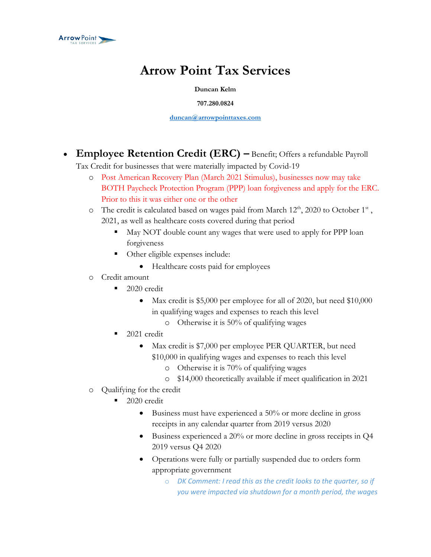

## **Arrow Point Tax Services**

**Duncan Kelm**

**707.280.0824**

**[duncan@arrowpointtaxes.com](mailto:duncan@arrowpointtaxes.com)**

• **Employee Retention Credit (ERC) –** Benefit; Offers a refundable Payroll

Tax Credit for businesses that were materially impacted by Covid-19

- o Post American Recovery Plan (March 2021 Stimulus), businesses now may take BOTH Paycheck Protection Program (PPP) loan forgiveness and apply for the ERC. Prior to this it was either one or the other
- $\circ$  The credit is calculated based on wages paid from March 12<sup>th</sup>, 2020 to October 1<sup>st</sup>, 2021, as well as healthcare costs covered during that period
	- May NOT double count any wages that were used to apply for PPP loan forgiveness
	- Other eligible expenses include:
		- Healthcare costs paid for employees
- o Credit amount
	- 2020 credit
		- Max credit is \$5,000 per employee for all of 2020, but need \$10,000 in qualifying wages and expenses to reach this level
			- o Otherwise it is 50% of qualifying wages
	- 2021 credit
		- Max credit is \$7,000 per employee PER QUARTER, but need
			- \$10,000 in qualifying wages and expenses to reach this level
				- o Otherwise it is 70% of qualifying wages
				- o \$14,000 theoretically available if meet qualification in 2021
- o Qualifying for the credit
	- 2020 credit
		- Business must have experienced a 50% or more decline in gross receipts in any calendar quarter from 2019 versus 2020
		- Business experienced a 20% or more decline in gross receipts in Q4 2019 versus Q4 2020
		- Operations were fully or partially suspended due to orders form appropriate government
			- o *DK Comment: I read this as the credit looks to the quarter, so if you were impacted via shutdown for a month period, the wages*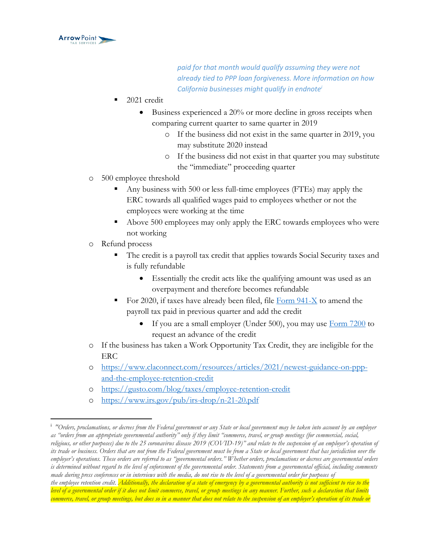

*paid for that month would qualify assuming they were not already tied to PPP loan forgiveness. More information on how California businesses might qualify in endnote<sup>i</sup>*

- 2021 credit
	- Business experienced a 20% or more decline in gross receipts when comparing current quarter to same quarter in 2019
		- o If the business did not exist in the same quarter in 2019, you may substitute 2020 instead
		- o If the business did not exist in that quarter you may substitute the "immediate" proceeding quarter
- o 500 employee threshold
	- Any business with 500 or less full-time employees (FTEs) may apply the ERC towards all qualified wages paid to employees whether or not the employees were working at the time
	- Above 500 employees may only apply the ERC towards employees who were not working
- o Refund process
	- The credit is a payroll tax credit that applies towards Social Security taxes and is fully refundable
		- Essentially the credit acts like the qualifying amount was used as an overpayment and therefore becomes refundable
	- For 2020, if taxes have already been filed, file  $\overline{F}$ orm 941-X to amend the payroll tax paid in previous quarter and add the credit
		- If you are a small employer (Under 500), you may use  $Form 7200$  to</u> request an advance of the credit
- o If the business has taken a Work Opportunity Tax Credit, they are ineligible for the ERC
- o [https://www.claconnect.com/resources/articles/2021/newest-guidance-on-ppp](https://www.claconnect.com/resources/articles/2021/newest-guidance-on-ppp-and-the-employee-retention-credit)[and-the-employee-retention-credit](https://www.claconnect.com/resources/articles/2021/newest-guidance-on-ppp-and-the-employee-retention-credit)
- o <https://gusto.com/blog/taxes/employee-retention-credit>
- o <https://www.irs.gov/pub/irs-drop/n-21-20.pdf>

<sup>&</sup>lt;sup>i</sup> "Orders, proclamations, or decrees from the Federal government or any State or local government may be taken into account by an employer *as "orders from an appropriate governmental authority" only if they limit "commerce, travel, or group meetings (for commercial, social, religious, or other purposes) due to the 25 coronavirus disease 2019 (COVID-19)" and relate to the suspension of an employer's operation of*  its trade or business. Orders that are not from the Federal government must be from a State or local government that has jurisdiction over the *employer's operations. These orders are referred to as "governmental orders." Whether orders, proclamations or decrees are governmental orders*  is determined without regard to the level of enforcement of the governmental order. Statements from a governmental official, including comments *made during press conferences or in interviews with the media, do not rise to the level of a governmental order for purposes of the employee retention credit. Additionally, the declaration of a state of emergency by a governmental authority is not sufficient to rise to the level of a governmental order if it does not limit commerce, travel, or group meetings in any manner. Further, such a declaration that limits* 

*commerce, travel, or group meetings, but does so in a manner that does not relate to the suspension of an employer's operation of its trade or*